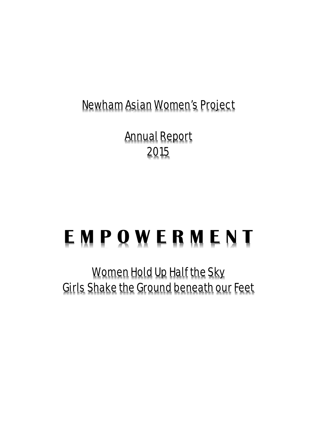Newham Asian Women's Project

Annual Report 2015

# **E M P O W E R M E N T**

Women Hold Up Half the Sky Girls Shake the Ground beneath our Feet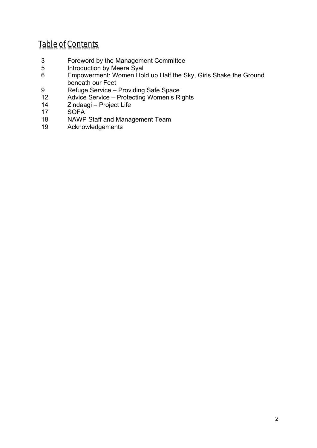## Table of Contents

- 3 Foreword by the Management Committee
- 5 Introduction by Meera Syal
- 6 Empowerment: Women Hold up Half the Sky, Girls Shake the Ground beneath our Feet
- 9 Refuge Service Providing Safe Space<br>12 Advice Service Protecting Women's Ri
- Advice Service Protecting Women's Rights
- 14 Zindaagi Project Life<br>17 SOFA
- **SOFA**
- 18 NAWP Staff and Management Team<br>19 Acknowledgements
- **Acknowledgements**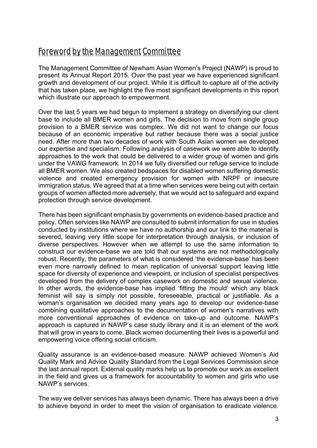## Foreword by the Management Committee

The Management Committee of Newham Asian Women's Project (NAWP) is proud to present its Annual Report 2015. Over the past year we have experienced significant growth and development of our project. While it is difficult to capture all of the activity that has taken place, we highlight the five most significant developments in this report which illustrate our approach to empowerment.

Over the last 5 years we had begun to implement a strategy on diversifying our client base to include all BMER women and girls. The decision to move from single group provision to a BMER service was complex. We did not want to change our focus because of an economic imperative but rather because there was a social justice need. After more than two decades of work with South Asian women we developed our expertise and specialism. Following analysis of casework we were able to identify approaches to the work that could be delivered to a wider group of women and girls under the VAWG framework. In 2014 we fully diversified our refuge service to include all BMER women. We also created bedspaces for disabled women suffering domestic violence and created emergency provision for women with NRPF or insecure immigration status. We agreed that at a time when services were being cut with certain groups of women affected more adversely, that we would act to safeguard and expand protection through service development.

There has been significant emphasis by governments on evidence-based practice and policy. Often services like NAWP are consulted to submit information for use in studies conducted by institutions where we have no authorship and our link to the material is severed, leaving very little scope for interpretation through analysis, or inclusion of diverse perspectives. However when we attempt to use the same information to construct our evidence-base we are told that our systems are not methodologically robust. Recently, the parameters of what is considered 'the evidence-base' has been even more narrowly defined to mean replication of universal support leaving little space for diversity of experience and viewpoint, or inclusion of specialist perspectives developed from the delivery of complex casework on domestic and sexual violence. In other words, the evidence-base has implied 'fitting the mould' which any black feminist will say is simply not possible, foreseeable, practical or justifiable. As a woman's organisation we decided many years ago to develop our evidence-base combining qualitative approaches to the documentation of women's narratives with more conventional approaches of evidence on take-up and outcome. NAWP's approach is captured in NAWP's case study library and it is an element of the work that will grow in years to come. Black women documenting their lives is a powerful and empowering voice offering social criticism.

Quality assurance is an evidence-based measure. NAWP achieved Women's Aid Quality Mark and Advice Quality Standard from the Legal Services Commission since the last annual report. External quality marks help us to promote our work as excellent in the field and gives us a framework for accountability to women and girls who use NAWP's services.

The way we deliver services has always been dynamic. There has always been a drive to achieve beyond in order to meet the vision of organisation to eradicate violence.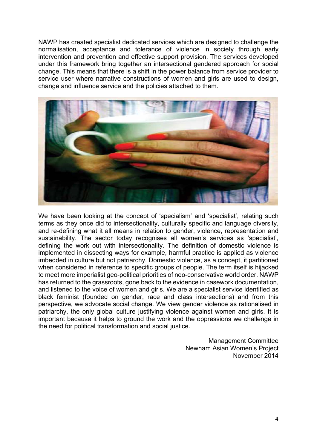NAWP has created specialist dedicated services which are designed to challenge the normalisation, acceptance and tolerance of violence in society through early intervention and prevention and effective support provision. The services developed under this framework bring together an intersectional gendered approach for social change. This means that there is a shift in the power balance from service provider to service user where narrative constructions of women and girls are used to design, change and influence service and the policies attached to them.



We have been looking at the concept of 'specialism' and 'specialist', relating such terms as they once did to intersectionality, culturally specific and language diversity, and re-defining what it all means in relation to gender, violence, representation and sustainability. The sector today recognises all women's services as 'specialist', defining the work out with intersectionality. The definition of domestic violence is implemented in dissecting ways for example, harmful practice is applied as violence imbedded in culture but not patriarchy. Domestic violence, as a concept, it partitioned when considered in reference to specific groups of people. The term itself is hijacked to meet more imperialist geo-political priorities of neo-conservative world order. NAWP has returned to the grassroots, gone back to the evidence in casework documentation, and listened to the voice of women and girls. We are a specialist service identified as black feminist (founded on gender, race and class intersections) and from this perspective, we advocate social change. We view gender violence as rationalised in patriarchy, the only global culture justifying violence against women and girls. It is important because it helps to ground the work and the oppressions we challenge in the need for political transformation and social justice.

> Management Committee Newham Asian Women's Project November 2014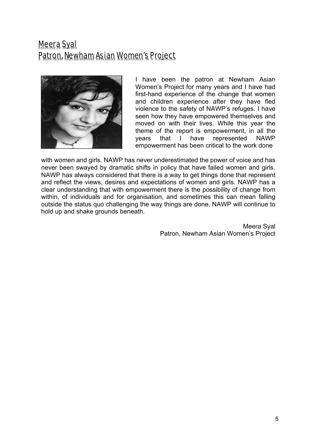## Meera Syal Patron, Newham Asian Women's Project



I have been the patron at Newham Asian Women's Project for many years and I have had first-hand experience of the change that women and children experience after they have fled violence to the safety of NAWP's refuges. I have seen how they have empowered themselves and moved on with their lives. While this year the theme of the report is empowerment, in all the years that I have represented NAWP empowerment has been critical to the work done

with women and girls. NAWP has never underestimated the power of voice and has never been swayed by dramatic shifts in policy that have failed women and girls. NAWP has always considered that there is a way to get things done that represent and reflect the views, desires and expectations of women and girls. NAWP has a clear understanding that with empowerment there is the possibility of change from within, of individuals and for organisation, and sometimes this can mean falling outside the status quo challenging the way things are done. NAWP will continue to hold up and shake grounds beneath.

> Meera Syal Patron, Newham Asian Women's Project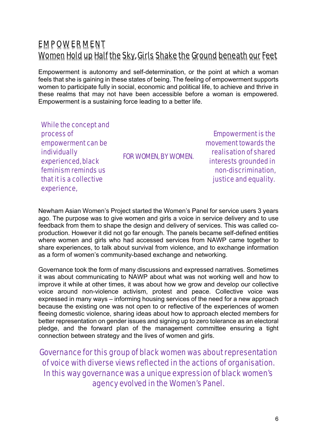## **EMPOWERMENT** Women Hold up Half the Sky, Girls Shake the Ground beneath our Feet

Empowerment is autonomy and self-determination, or the point at which a woman feels that she is gaining in these states of being. The feeling of empowerment supports women to participate fully in social, economic and political life, to achieve and thrive in these realms that may not have been accessible before a woman is empowered. Empowerment is a sustaining force leading to a better life.

While the concept and process of empowerment can be individually experienced, black feminism reminds us that it is a collective experience,

FOR WOMEN, BY WOMEN.

Empowerment is the movement towards the realisation of shared interests grounded in non-discrimination, justice and equality.

Newham Asian Women's Project started the Women's Panel for service users 3 years ago. The purpose was to give women and girls a voice in service delivery and to use feedback from them to shape the design and delivery of services. This was called coproduction. However it did not go far enough. The panels became self-defined entities where women and girls who had accessed services from NAWP came together to share experiences, to talk about survival from violence, and to exchange information as a form of women's community-based exchange and networking.

Governance took the form of many discussions and expressed narratives. Sometimes it was about communicating to NAWP about what was not working well and how to improve it while at other times, it was about how we grow and develop our collective voice around non-violence activism, protest and peace. Collective voice was expressed in many ways – informing housing services of the need for a new approach because the existing one was not open to or reflective of the experiences of women fleeing domestic violence, sharing ideas about how to approach elected members for better representation on gender issues and signing up to zero tolerance as an electoral pledge, and the forward plan of the management committee ensuring a tight connection between strategy and the lives of women and girls.

Governance for this group of black women was about representation of voice with diverse views reflected in the actions of organisation. In this way governance was a unique expression of black women's agency evolved in the Women's Panel.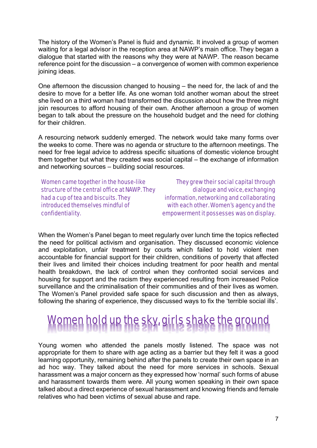The history of the Women's Panel is fluid and dynamic. It involved a group of women waiting for a legal advisor in the reception area at NAWP's main office. They began a dialogue that started with the reasons why they were at NAWP. The reason became reference point for the discussion – a convergence of women with common experience joining ideas.

One afternoon the discussion changed to housing – the need for, the lack of and the desire to move for a better life. As one woman told another woman about the street she lived on a third woman had transformed the discussion about how the three might join resources to afford housing of their own. Another afternoon a group of women began to talk about the pressure on the household budget and the need for clothing for their children.

A resourcing network suddenly emerged. The network would take many forms over the weeks to come. There was no agenda or structure to the afternoon meetings. The need for free legal advice to address specific situations of domestic violence brought them together but what they created was social capital – the exchange of information and networking sources – building social resources.

Women came together in the house-like structure of the central office at NAWP. They had a cup of tea and biscuits. They introduced themselves mindful of confidentiality.

They grew their social capital through dialogue and voice, exchanging information, networking and collaborating with each other. Women's agency and the empowerment it possesses was on display.

When the Women's Panel began to meet regularly over lunch time the topics reflected the need for political activism and organisation. They discussed economic violence and exploitation, unfair treatment by courts which failed to hold violent men accountable for financial support for their children, conditions of poverty that affected their lives and limited their choices including treatment for poor health and mental health breakdown, the lack of control when they confronted social services and housing for support and the racism they experienced resulting from increased Police surveillance and the criminalisation of their communities and of their lives as women. The Women's Panel provided safe space for such discussion and then as always, following the sharing of experience, they discussed ways to fix the 'terrible social ills'.

## Women hold up the sky, girls shake the ground

Young women who attended the panels mostly listened. The space was not appropriate for them to share with age acting as a barrier but they felt it was a good learning opportunity, remaining behind after the panels to create their own space in an ad hoc way. They talked about the need for more services in schools. Sexual harassment was a major concern as they expressed how 'normal' such forms of abuse and harassment towards them were. All young women speaking in their own space talked about a direct experience of sexual harassment and knowing friends and female relatives who had been victims of sexual abuse and rape.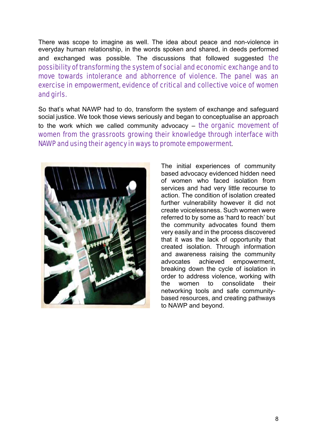There was scope to imagine as well. The idea about peace and non-violence in everyday human relationship, in the words spoken and shared, in deeds performed and exchanged was possible. The discussions that followed suggested the possibility of transforming the system of social and economic exchange and to move towards intolerance and abhorrence of violence. The panel was an exercise in empowerment, evidence of critical and collective voice of women and girls.

So that's what NAWP had to do, transform the system of exchange and safeguard social justice. We took those views seriously and began to conceptualise an approach to the work which we called community advocacy – the organic movement of women from the grassroots growing their knowledge through interface with NAWP and using their agency in ways to promote empowerment.



The initial experiences of community based advocacy evidenced hidden need of women who faced isolation from services and had very little recourse to action. The condition of isolation created further vulnerability however it did not create voicelessness. Such women were referred to by some as 'hard to reach' but the community advocates found them very easily and in the process discovered that it was the lack of opportunity that created isolation. Through information and awareness raising the community advocates achieved empowerment, breaking down the cycle of isolation in order to address violence, working with the women to consolidate their networking tools and safe communitybased resources, and creating pathways to NAWP and beyond.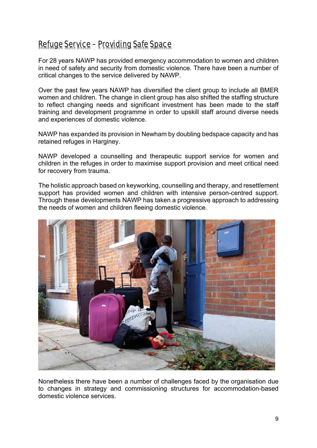## Refuge Service – Providing Safe Space

For 28 years NAWP has provided emergency accommodation to women and children in need of safety and security from domestic violence. There have been a number of critical changes to the service delivered by NAWP.

Over the past few years NAWP has diversified the client group to include all BMER women and children. The change in client group has also shifted the staffing structure to reflect changing needs and significant investment has been made to the staff training and development programme in order to upskill staff around diverse needs and experiences of domestic violence.

NAWP has expanded its provision in Newham by doubling bedspace capacity and has retained refuges in Harginey.

NAWP developed a counselling and therapeutic support service for women and children in the refuges in order to maximise support provision and meet critical need for recovery from trauma.

The holistic approach based on keyworking, counselling and therapy, and resettlement support has provided women and children with intensive person-centred support. Through these developments NAWP has taken a progressive approach to addressing the needs of women and children fleeing domestic violence.



Nonetheless there have been a number of challenges faced by the organisation due to changes in strategy and commissioning structures for accommodation-based domestic violence services.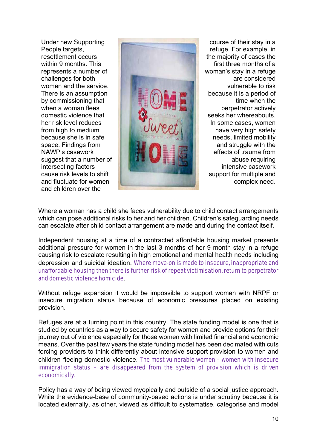Under new Supporting People targets, resettlement occurs within 9 months. This represents a number of challenges for both women and the service. There is an assumption by commissioning that when a woman flees domestic violence that her risk level reduces from high to medium because she is in safe space. Findings from NAWP's casework suggest that a number of intersecting factors cause risk levels to shift and fluctuate for women and children over the



course of their stay in a refuge. For example, in the majority of cases the first three months of a woman's stay in a refuge are considered vulnerable to risk because it is a period of time when the perpetrator actively seeks her whereabouts. In some cases, women have very high safety needs, limited mobility and struggle with the effects of trauma from abuse requiring intensive casework support for multiple and complex need.

Where a woman has a child she faces vulnerability due to child contact arrangements which can pose additional risks to her and her children. Children's safeguarding needs can escalate after child contact arrangement are made and during the contact itself.

Independent housing at a time of a contracted affordable housing market presents additional pressure for women in the last 3 months of her 9 month stay in a refuge causing risk to escalate resulting in high emotional and mental health needs including depression and suicidal ideation. Where move-on is made to insecure, inappropriate and unaffordable housing then there is further risk of repeat victimisation, return to perpetrator and domestic violence homicide.

Without refuge expansion it would be impossible to support women with NRPF or insecure migration status because of economic pressures placed on existing provision.

Refuges are at a turning point in this country. The state funding model is one that is studied by countries as a way to secure safety for women and provide options for their journey out of violence especially for those women with limited financial and economic means. Over the past few years the state funding model has been decimated with cuts forcing providers to think differently about intensive support provision to women and children fleeing domestic violence. The most vulnerable women – women with insecure immigration status – are disappeared from the system of provision which is driven economically.

Policy has a way of being viewed myopically and outside of a social justice approach. While the evidence-base of community-based actions is under scrutiny because it is located externally, as other, viewed as difficult to systematise, categorise and model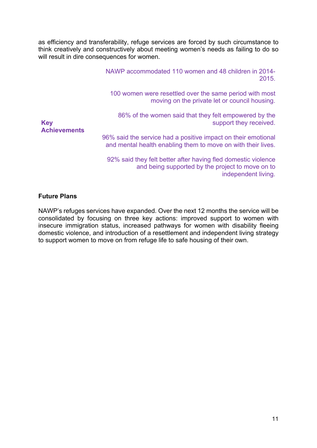as efficiency and transferability, refuge services are forced by such circumstance to think creatively and constructively about meeting women's needs as failing to do so will result in dire consequences for women.

|                                   | NAWP accommodated 110 women and 48 children in 2014-<br>2015.                                                                 |
|-----------------------------------|-------------------------------------------------------------------------------------------------------------------------------|
|                                   | 100 women were resettled over the same period with most<br>moving on the private let or council housing.                      |
| <b>Key</b><br><b>Achievements</b> | 86% of the women said that they felt empowered by the<br>support they received.                                               |
|                                   | 96% said the service had a positive impact on their emotional<br>and mental health enabling them to move on with their lives. |
|                                   | 92% said they felt better after having fled domestic violence<br>and being supported by the project to move on to             |

independent living.

#### **Future Plans**

NAWP's refuges services have expanded. Over the next 12 months the service will be consolidated by focusing on three key actions: improved support to women with insecure immigration status, increased pathways for women with disability fleeing domestic violence, and introduction of a resettlement and independent living strategy to support women to move on from refuge life to safe housing of their own.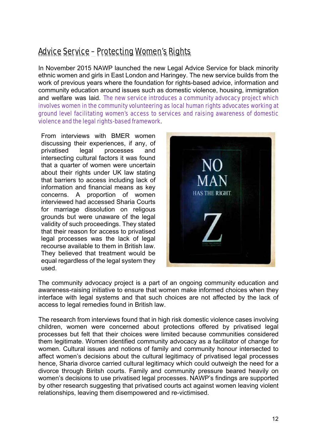## Advice Service – Protecting Women's Rights

In November 2015 NAWP launched the new Legal Advice Service for black minority ethnic women and girls in East London and Haringey. The new service builds from the work of previous years where the foundation for rights-based advice, information and community education around issues such as domestic violence, housing, immigration and welfare was laid. The new service introduces a community advocacy project which involves women in the community volunteering as local human rights advocates working at ground level facilitating women's access to services and raising awareness of domestic violence and the legal rights-based framework.

From interviews with BMER women discussing their experiences, if any, of privatised legal processes and intersecting cultural factors it was found that a quarter of women were uncertain about their rights under UK law stating that barriers to access including lack of information and financial means as key concerns. A proportion of women interviewed had accessed Sharia Courts for marriage dissolution on religous grounds but were unaware of the legal validity of such proceedings. They stated that their reason for access to privatised legal processes was the lack of legal recourse available to them in British law. They believed that treatment would be equal regardless of the legal system they used.



The community advocacy project is a part of an ongoing community education and awareness-raising initiative to ensure that women make informed choices when they interface with legal systems and that such choices are not affected by the lack of access to legal remedies found in British law.

The research from interviews found that in high risk domestic violence cases involving children, women were concerned about protections offered by privatised legal processes but felt that their choices were limited because communities considered them legitimate. Women identified community advocacy as a facilitator of change for women. Cultural issues and notions of family and community honour intersected to affect women's decisions about the cultural legitimacy of privatised legal processes hence, Sharia divorce carried cultural legitimacy which could outweigh the need for a divorce through Biritsh courts. Family and community pressure beared heavily on women's decisions to use privatised legal processes. NAWP's findings are supported by other research suggesting that privatised courts act against women leaving violent relationships, leaving them disempowered and re-victimised.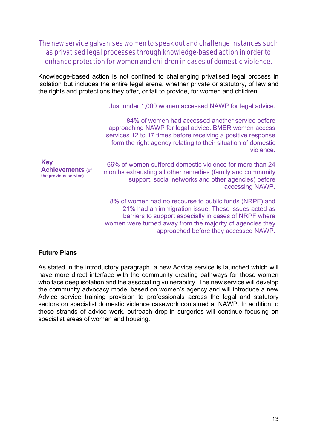#### The new service galvanises women to speak out and challenge instances such as privatised legal processes through knowledge-based action in order to enhance protection for women and children in cases of domestic violence.

Knowledge-based action is not confined to challenging privatised legal process in isolation but includes the entire legal arena, whether private or statutory, of law and the rights and protections they offer, or fail to provide, for women and children.

Just under 1,000 women accessed NAWP for legal advice.

84% of women had accessed another service before approaching NAWP for legal advice. BMER women access services 12 to 17 times before receiving a positive response form the right agency relating to their situation of domestic violence.

| <b>Key</b><br><b>Achievements (of</b><br>the previous service) | 66% of women suffered domestic violence for more than 24<br>months exhausting all other remedies (family and community<br>support, social networks and other agencies) before<br>accessing NAWP. |
|----------------------------------------------------------------|--------------------------------------------------------------------------------------------------------------------------------------------------------------------------------------------------|
|                                                                | 8% of women had no recourse to public funds (NRPF) and                                                                                                                                           |

21% had an immigration issue. These issues acted as barriers to support especially in cases of NRPF where women were turned away from the majority of agencies they approached before they accessed NAWP.

#### **Future Plans**

As stated in the introductory paragraph, a new Advice service is launched which will have more direct interface with the community creating pathways for those women who face deep isolation and the associating vulnerability. The new service will develop the community advocacy model based on women's agency and will introduce a new Advice service training provision to professionals across the legal and statutory sectors on specialist domestic violence casework contained at NAWP. In addition to these strands of advice work, outreach drop-in surgeries will continue focusing on specialist areas of women and housing.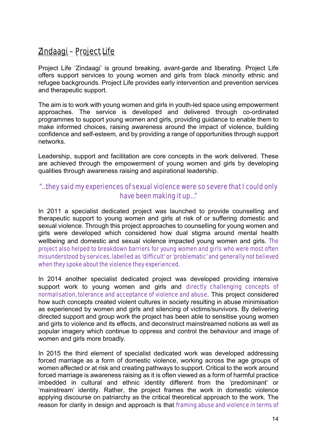## Zindaagi – Project Life

Project Life 'Zindaagi' is ground breaking, avant-garde and liberating. Project Life offers support services to young women and girls from black minority ethnic and refugee backgrounds. Project Life provides early intervention and prevention services and therapeutic support.

The aim is to work with young women and girls in youth-led space using empowerment approaches. The service is developed and delivered through co-ordinated programmes to support young women and girls, providing guidance to enable them to make informed choices, raising awareness around the impact of violence, building confidence and self-esteem, and by providing a range of opportunities through support networks.

Leadership, support and facilitation are core concepts in the work delivered. These are achieved through the empowerment of young women and girls by developing qualities through awareness raising and aspirational leadership.

#### "…they said my experiences of sexual violence were so severe that I could only have been making it up…"

In 2011 a specialist dedicated project was launched to provide counselling and therapeutic support to young women and girls at risk of or suffering domestic and sexual violence. Through this project approaches to counselling for young women and girls were developed which considered how dual stigma around mental health wellbeing and domestic and sexual violence impacted young women and girls. The project also helped to breakdown barriers for young women and girls who were most often misunderstood by services, labelled as 'difficult' or 'problematic' and generally not believed when they spoke about the violence they experienced.

In 2014 another specialist dedicated project was developed providing intensive support work to young women and girls and directly challenging concepts of normalisation, tolerance and acceptance of violence and abuse. This project considered how such concepts created violent cultures in society resulting in abuse minimisation as experienced by women and girls and silencing of victims/survivors. By delivering directed support and group work the project has been able to sensitise young women and girls to violence and its effects, and deconstruct mainstreamed notions as well as popular imagery which continue to oppress and control the behaviour and image of women and girls more broadly.

In 2015 the third element of specialist dedicated work was developed addressing forced marriage as a form of domestic violence, working across the age groups of women affected or at risk and creating pathways to support. Critical to the work around forced marriage is awareness raising as it is often viewed as a form of harmful practice imbedded in cultural and ethnic identity different from the 'predominant' or 'mainstream' identity. Rather, the project frames the work in domestic violence applying discourse on patriarchy as the critical theoretical approach to the work. The reason for clarity in design and approach is that framing abuse and violence in terms of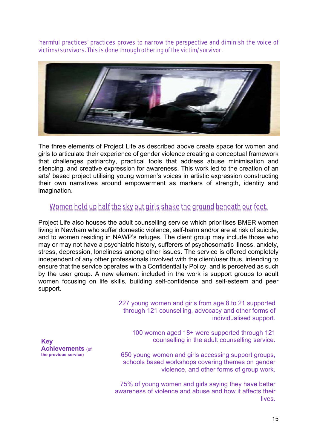'harmful practices' practices proves to narrow the perspective and diminish the voice of victims/survivors. This is done through othering of the victim/survivor.



The three elements of Project Life as described above create space for women and girls to articulate their experience of gender violence creating a conceptual framework that challenges patriarchy, practical tools that address abuse minimisation and silencing, and creative expression for awareness. This work led to the creation of an arts' based project utilising young women's voices in artistic expression constructing their own narratives around empowerment as markers of strength, identity and imagination.

#### Women hold up half the sky but girls shake the ground beneath our feet.

Project Life also houses the adult counselling service which prioritises BMER women living in Newham who suffer domestic violence, self-harm and/or are at risk of suicide, and to women residing in NAWP's refuges. The client group may include those who may or may not have a psychiatric history, sufferers of psychosomatic illness, anxiety, stress, depression, loneliness among other issues. The service is offered completely independent of any other professionals involved with the client/user thus, intending to ensure that the service operates with a Confidentiality Policy, and is perceived as such by the user group. A new element included in the work is support groups to adult women focusing on life skills, building self-confidence and self-esteem and peer support.

> 227 young women and girls from age 8 to 21 supported through 121 counselling, advocacy and other forms of individualised support.

100 women aged 18+ were supported through 121 counselling in the adult counselling service.

650 young women and girls accessing support groups, schools based workshops covering themes on gender violence, and other forms of group work.

75% of young women and girls saying they have better awareness of violence and abuse and how it affects their **lives** 

**Key Achievements (of the previous service)**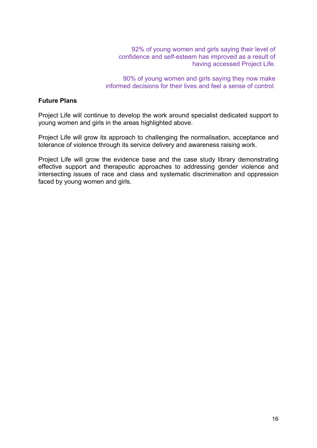92% of young women and girls saying their level of confidence and self-esteem has improved as a result of having accessed Project Life.

90% of young women and girls saying they now make informed decisions for their lives and feel a sense of control.

#### **Future Plans**

Project Life will continue to develop the work around specialist dedicated support to young women and girls in the areas highlighted above.

Project Life will grow its approach to challenging the normalisation, acceptance and tolerance of violence through its service delivery and awareness raising work.

Project Life will grow the evidence base and the case study library demonstrating effective support and therapeutic approaches to addressing gender violence and intersecting issues of race and class and systematic discrimination and oppression faced by young women and girls.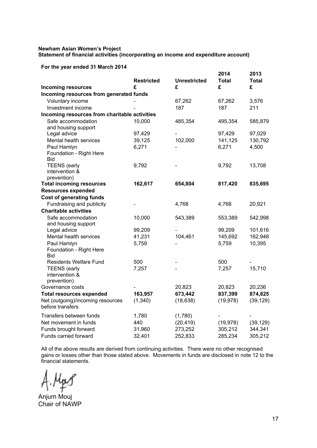#### **Newham Asian Women's Project Statement of financial activities (incorporating an income and expenditure account)**

**For the year ended 31 March 2014** 

|                                               |                        |                          | 2014       | 2013       |
|-----------------------------------------------|------------------------|--------------------------|------------|------------|
|                                               | <b>Restricted</b><br>£ | <b>Unrestricted</b><br>£ | Total<br>£ | Total<br>£ |
| <b>Incoming resources</b>                     |                        |                          |            |            |
| Incoming resources from generated funds       |                        |                          |            |            |
| Voluntary income                              |                        | 67,262                   | 67,262     | 3,576      |
| Investment income                             |                        | 187                      | 187        | 211        |
| Incoming resources from charitable activities |                        |                          |            |            |
| Safe accommodation                            | 10,000                 | 485,354                  | 495,354    | 585,879    |
| and housing support                           |                        |                          |            |            |
| Legal advice                                  | 97,429                 |                          | 97,429     | 97,029     |
| Mental health services                        | 39,125                 | 102,000                  | 141,125    | 130,792    |
| Paul Hamlyn                                   | 6,271                  |                          | 6,271      | 4,500      |
| Foundation - Right Here<br><b>Bid</b>         |                        |                          |            |            |
| <b>TEENS</b> (early                           | 9,792                  |                          | 9,792      | 13,708     |
| intervention &                                |                        |                          |            |            |
| prevention)                                   |                        |                          |            |            |
| <b>Total incoming resources</b>               | 162,617                | 654,804                  | 817,420    | 835,695    |
| <b>Resources expended</b>                     |                        |                          |            |            |
| <b>Cost of generating funds</b>               |                        |                          |            |            |
| Fundraising and publicity                     |                        | 4,768                    | 4,768      | 20,921     |
| <b>Charitable activities</b>                  |                        |                          |            |            |
| Safe accommodation                            | 10,000                 | 543,389                  | 553,389    | 542,998    |
| and housing support                           |                        |                          |            |            |
| Legal advice                                  | 99,209                 |                          | 99,209     | 101,616    |
| Mental health services                        | 41,231                 | 104,461                  | 145,692    | 162,948    |
| Paul Hamlyn                                   | 5,759                  |                          | 5,759      | 10,395     |
| Foundation - Right Here                       |                        |                          |            |            |
| Bid                                           |                        |                          |            |            |
| <b>Residents Welfare Fund</b>                 | 500                    |                          | 500        |            |
| <b>TEENS</b> (early                           | 7,257                  |                          | 7,257      | 15,710     |
| intervention &                                |                        |                          |            |            |
| prevention)                                   |                        |                          |            |            |
| Governance costs                              |                        | 20,823                   | 20,823     | 20,236     |
| <b>Total resources expended</b>               | 163,957                | 673,442                  | 837,399    | 874,825    |
| Net (outgoing)/incoming resources             | (1,340)                | (18, 638)                | (19, 978)  | (39, 129)  |
| before transfers                              |                        |                          |            |            |
| Transfers between funds                       | 1,780                  | (1,780)                  |            |            |
| Net movement in funds                         | 440                    | (20, 419)                | (19, 978)  | (39, 129)  |
| Funds brought forward                         | 31,960                 | 273,252                  | 305,212    | 344,341    |
| Funds carried forward                         | 32,401                 | 252,833                  | 285,234    | 305,212    |

All of the above results are derived from continuing activities. There were no other recognised gains or losses other than those stated above. Movements in funds are disclosed in note 12 to the financial statements.

 $M_{p}$ 

Anjum Mouj Chair of NAWP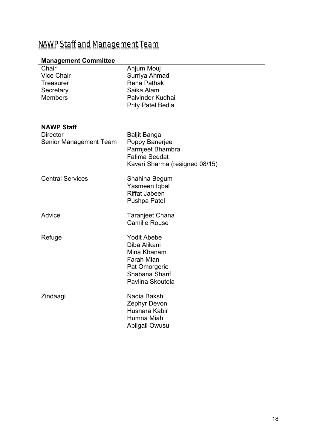## NAWP Staff and Management Team

#### **Management Committee**

| Chair             | Anjum Mouj               |
|-------------------|--------------------------|
| <b>Vice Chair</b> | Surriya Ahmad            |
| Treasurer         | <b>Rena Pathak</b>       |
| Secretary         | Saika Alam               |
| <b>Members</b>    | <b>Palvinder Kudhail</b> |
|                   | <b>Prity Patel Bedia</b> |
|                   |                          |

## **NAWP Staff**

| <b>Director</b><br>Senior Management Team | <b>Baljit Banga</b><br>Poppy Banerjee<br>Parmjeet Bhambra<br><b>Fatima Seedat</b>                                      |  |
|-------------------------------------------|------------------------------------------------------------------------------------------------------------------------|--|
|                                           | Kaveri Sharma (resigned 08/15)                                                                                         |  |
| <b>Central Services</b>                   | Shahina Begum<br>Yasmeen Iqbal<br><b>Riffat Jabeen</b><br><b>Pushpa Patel</b>                                          |  |
| Advice                                    | Taranjeet Chana<br><b>Camille Rouse</b>                                                                                |  |
| Refuge                                    | <b>Yodit Abebe</b><br>Diba Alikani<br>Mina Khanam<br>Farah Mian<br>Pat Omorgerie<br>Shabana Sharif<br>Pavlina Skoutela |  |
| Zindaagi                                  | Nadia Baksh<br>Zephyr Devon<br>Husnara Kabir<br>Humna Miah<br>Abilgail Owusu                                           |  |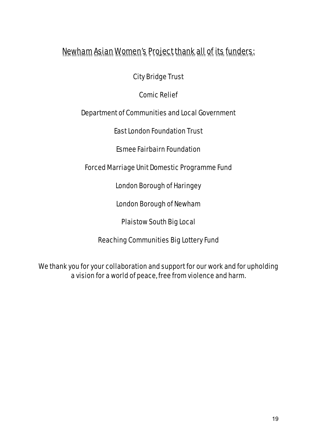## Newham Asian Women's Project thank all of its funders:

City Bridge Trust

Comic Relief

Department of Communities and Local Government

East London Foundation Trust

Esmee Fairbairn Foundation

Forced Marriage Unit Domestic Programme Fund

London Borough of Haringey

London Borough of Newham

Plaistow South Big Local

Reaching Communities Big Lottery Fund

We thank you for your collaboration and support for our work and for upholding a vision for a world of peace, free from violence and harm.